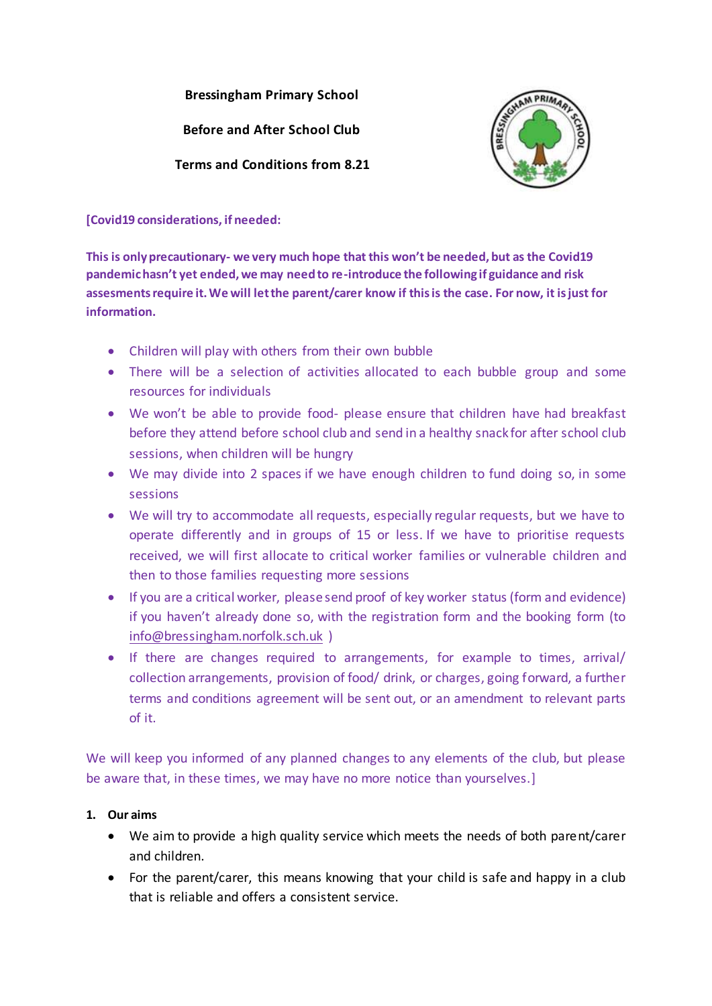**Bressingham Primary School**

**Before and After School Club**

**Terms and Conditions from 8.21**



**[Covid19 considerations, if needed:**

**This is only precautionary- we very much hope that this won't be needed, but as the Covid19 pandemic hasn't yet ended, we may need to re-introduce the following if guidance and risk assesmentsrequire it. We will let the parent/carer know if this is the case. For now, it is just for information.**

- Children will play with others from their own bubble
- There will be a selection of activities allocated to each bubble group and some resources for individuals
- We won't be able to provide food- please ensure that children have had breakfast before they attend before school club and send in a healthy snack for after school club sessions, when children will be hungry
- We may divide into 2 spaces if we have enough children to fund doing so, in some sessions
- We will try to accommodate all requests, especially regular requests, but we have to operate differently and in groups of 15 or less. If we have to prioritise requests received, we will first allocate to critical worker families or vulnerable children and then to those families requesting more sessions
- If you are a critical worker, please send proof of key worker status (form and evidence) if you haven't already done so, with the registration form and the booking form (to [info@bressingham.norfolk.sch.uk](mailto:info@bressingham.norfolk.sch.uk) )
- If there are changes required to arrangements, for example to times, arrival/ collection arrangements, provision of food/ drink, or charges, going forward, a further terms and conditions agreement will be sent out, or an amendment to relevant parts of it.

We will keep you informed of any planned changes to any elements of the club, but please be aware that, in these times, we may have no more notice than yourselves.]

# **1. Our aims**

- We aim to provide a high quality service which meets the needs of both parent/carer and children.
- For the parent/carer, this means knowing that your child is safe and happy in a club that is reliable and offers a consistent service.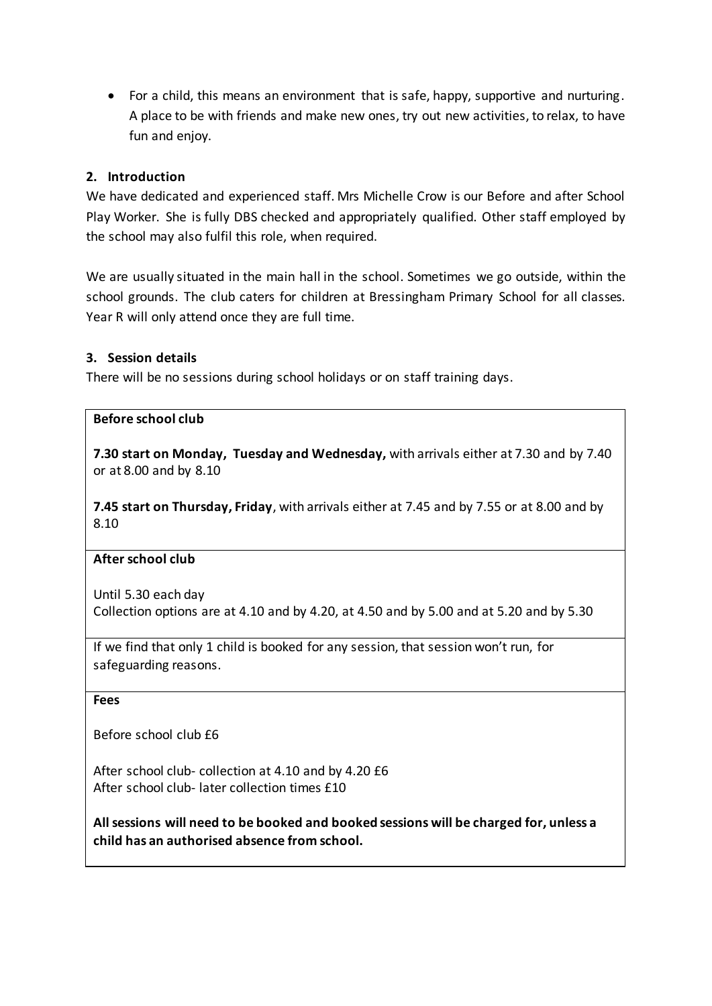For a child, this means an environment that is safe, happy, supportive and nurturing. A place to be with friends and make new ones, try out new activities, to relax, to have fun and enjoy.

## **2. Introduction**

We have dedicated and experienced staff. Mrs Michelle Crow is our Before and after School Play Worker. She is fully DBS checked and appropriately qualified. Other staff employed by the school may also fulfil this role, when required.

We are usually situated in the main hall in the school. Sometimes we go outside, within the school grounds. The club caters for children at Bressingham Primary School for all classes. Year R will only attend once they are full time.

## **3. Session details**

There will be no sessions during school holidays or on staff training days.

## **Before school club**

**7.30 start on Monday, Tuesday and Wednesday,** with arrivals either at 7.30 and by 7.40 or at 8.00 and by 8.10

**7.45 start on Thursday, Friday**, with arrivals either at 7.45 and by 7.55 or at 8.00 and by 8.10

## **After school club**

Until 5.30 each day Collection options are at 4.10 and by 4.20, at 4.50 and by 5.00 and at 5.20 and by 5.30

If we find that only 1 child is booked for any session, that session won't run, for safeguarding reasons.

#### **Fees**

Before school club £6

After school club- collection at 4.10 and by 4.20 £6 After school club- later collection times £10

**All sessions will need to be booked and booked sessions will be charged for, unless a child has an authorised absence from school.**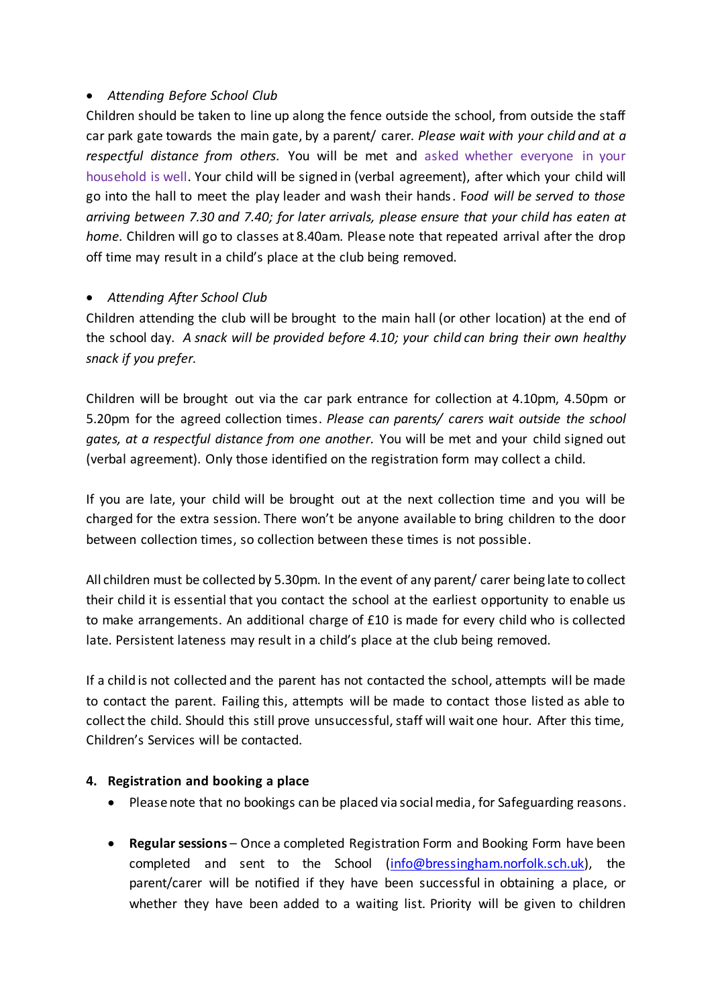## *Attending Before School Club*

Children should be taken to line up along the fence outside the school, from outside the staff car park gate towards the main gate, by a parent/ carer*. Please wait with your child and at a respectful distance from others.* You will be met and asked whether everyone in your household is well. Your child will be signed in (verbal agreement), after which your child will go into the hall to meet the play leader and wash their hands. F*ood will be served to those arriving between 7.30 and 7.40; for later arrivals, please ensure that your child has eaten at home.* Children will go to classes at 8.40am. Please note that repeated arrival after the drop off time may result in a child's place at the club being removed.

## *Attending After School Club*

Children attending the club will be brought to the main hall (or other location) at the end of the school day. *A snack will be provided before 4.10; your child can bring their own healthy snack if you prefer.* 

Children will be brought out via the car park entrance for collection at 4.10pm, 4.50pm or 5.20pm for the agreed collection times. *Please can parents/ carers wait outside the school gates, at a respectful distance from one another.* You will be met and your child signed out (verbal agreement). Only those identified on the registration form may collect a child.

If you are late, your child will be brought out at the next collection time and you will be charged for the extra session. There won't be anyone available to bring children to the door between collection times, so collection between these times is not possible.

All children must be collected by 5.30pm. In the event of any parent/ carer being late to collect their child it is essential that you contact the school at the earliest opportunity to enable us to make arrangements. An additional charge of £10 is made for every child who is collected late. Persistent lateness may result in a child's place at the club being removed.

If a child is not collected and the parent has not contacted the school, attempts will be made to contact the parent. Failing this, attempts will be made to contact those listed as able to collect the child. Should this still prove unsuccessful, staff will wait one hour. After this time, Children's Services will be contacted.

## **4. Registration and booking a place**

- Please note that no bookings can be placed via social media, for Safeguarding reasons.
- **Regular sessions** Once a completed Registration Form and Booking Form have been completed and sent to the School [\(info@bressingham.norfolk.sch.uk\)](mailto:info@bressingham.norfolk.sch.uk), the parent/carer will be notified if they have been successful in obtaining a place, or whether they have been added to a waiting list. Priority will be given to children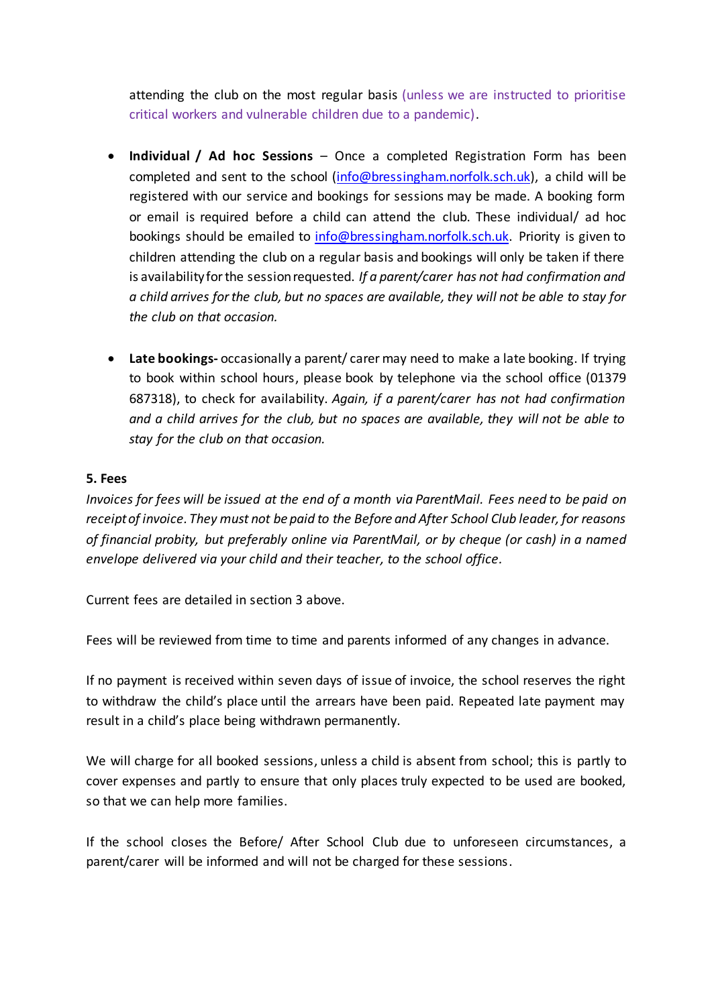attending the club on the most regular basis (unless we are instructed to prioritise critical workers and vulnerable children due to a pandemic).

- **Individual / Ad hoc Sessions** Once a completed Registration Form has been completed and sent to the school [\(info@bressingham.norfolk.sch.uk\),](mailto:info@bressingham.norfolk.sch.uk) a child will be registered with our service and bookings for sessions may be made. A booking form or email is required before a child can attend the club. These individual/ ad hoc bookings should be emailed to [info@bressingham.norfolk.sch.uk.](mailto:info@bressingham.norfolk.sch.uk) Priority is given to children attending the club on a regular basis and bookings will only be taken if there is availability for the session requested. *If a parent/carer has not had confirmation and a child arrives for the club, but no spaces are available, they will not be able to stay for the club on that occasion.*
- **Late bookings-** occasionally a parent/ carer may need to make a late booking. If trying to book within school hours, please book by telephone via the school office (01379 687318), to check for availability. *Again, if a parent/carer has not had confirmation and a child arrives for the club, but no spaces are available, they will not be able to stay for the club on that occasion.*

#### **5. Fees**

*Invoices for fees will be issued at the end of a month via ParentMail. Fees need to be paid on receipt of invoice. They must not be paid to the Before and After School Club leader, for reasons of financial probity, but preferably online via ParentMail, or by cheque (or cash) in a named envelope delivered via your child and their teacher, to the school office.*

Current fees are detailed in section 3 above.

Fees will be reviewed from time to time and parents informed of any changes in advance.

If no payment is received within seven days of issue of invoice, the school reserves the right to withdraw the child's place until the arrears have been paid. Repeated late payment may result in a child's place being withdrawn permanently.

We will charge for all booked sessions, unless a child is absent from school; this is partly to cover expenses and partly to ensure that only places truly expected to be used are booked, so that we can help more families.

If the school closes the Before/ After School Club due to unforeseen circumstances, a parent/carer will be informed and will not be charged for these sessions.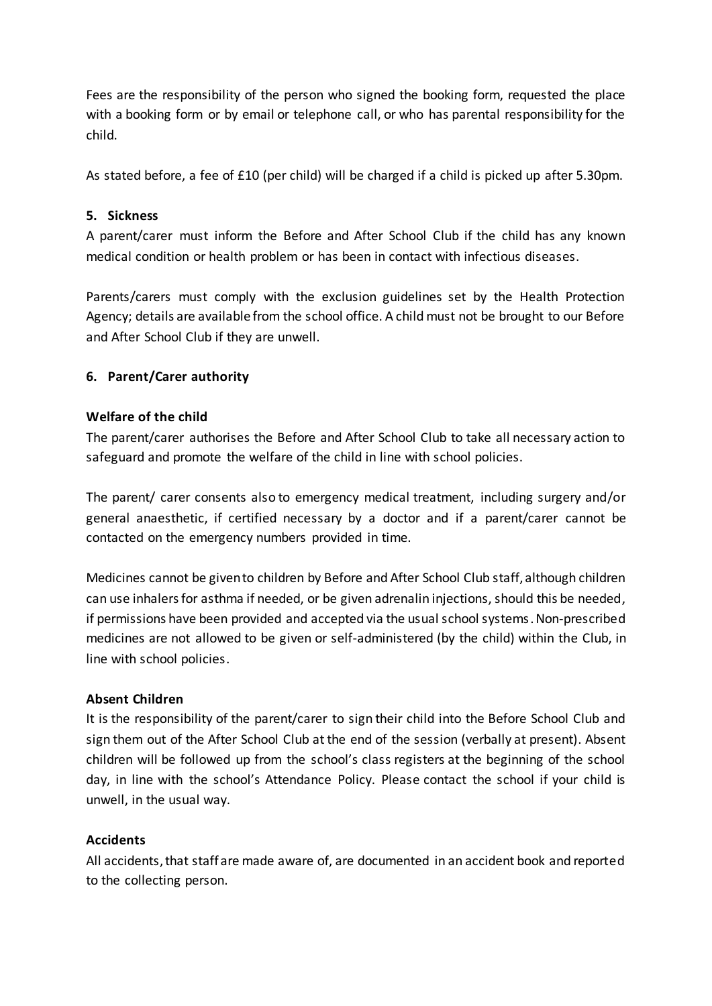Fees are the responsibility of the person who signed the booking form, requested the place with a booking form or by email or telephone call, or who has parental responsibility for the child.

As stated before, a fee of £10 (per child) will be charged if a child is picked up after 5.30pm.

## **5. Sickness**

A parent/carer must inform the Before and After School Club if the child has any known medical condition or health problem or has been in contact with infectious diseases.

Parents/carers must comply with the exclusion guidelines set by the Health Protection Agency; details are available from the school office. A child must not be brought to our Before and After School Club if they are unwell.

# **6. Parent/Carer authority**

## **Welfare of the child**

The parent/carer authorises the Before and After School Club to take all necessary action to safeguard and promote the welfare of the child in line with school policies.

The parent/ carer consents also to emergency medical treatment, including surgery and/or general anaesthetic, if certified necessary by a doctor and if a parent/carer cannot be contacted on the emergency numbers provided in time.

Medicines cannot be given to children by Before and After School Club staff, although children can use inhalers for asthma if needed, or be given adrenalin injections, should this be needed, if permissions have been provided and accepted via the usual school systems. Non-prescribed medicines are not allowed to be given or self-administered (by the child) within the Club, in line with school policies.

# **Absent Children**

It is the responsibility of the parent/carer to sign their child into the Before School Club and sign them out of the After School Club at the end of the session (verbally at present). Absent children will be followed up from the school's class registers at the beginning of the school day, in line with the school's Attendance Policy. Please contact the school if your child is unwell, in the usual way.

## **Accidents**

All accidents, that staff are made aware of, are documented in an accident book and reported to the collecting person.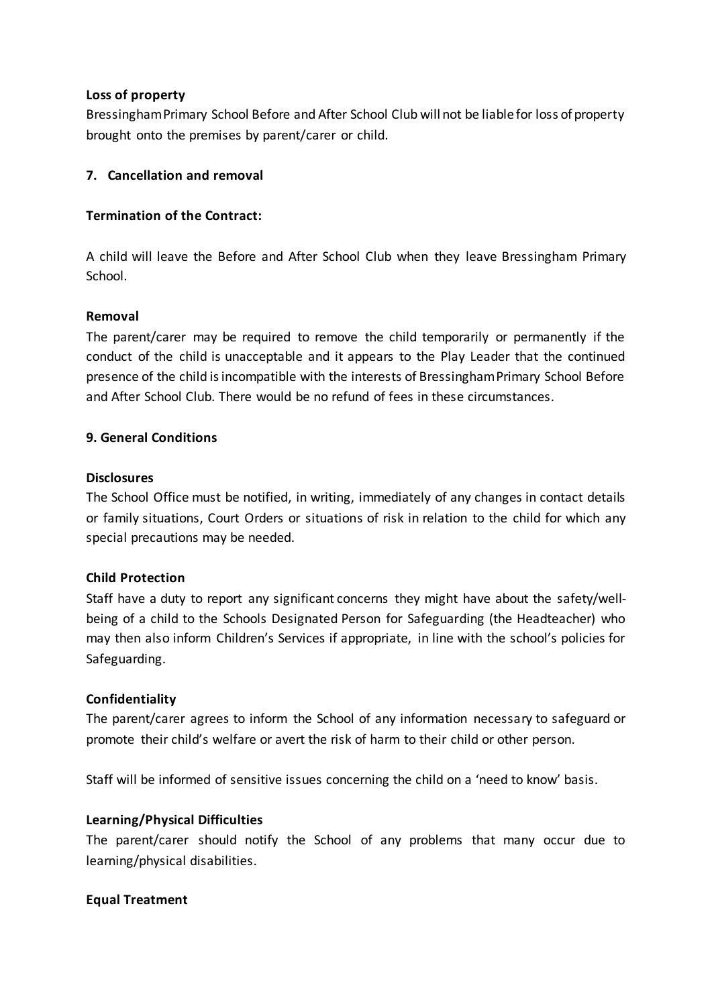#### **Loss of property**

Bressingham Primary School Before and After School Club will not be liable for loss of property brought onto the premises by parent/carer or child.

## **7. Cancellation and removal**

#### **Termination of the Contract:**

A child will leave the Before and After School Club when they leave Bressingham Primary School.

#### **Removal**

The parent/carer may be required to remove the child temporarily or permanently if the conduct of the child is unacceptable and it appears to the Play Leader that the continued presence of the child is incompatible with the interests of Bressingham Primary School Before and After School Club. There would be no refund of fees in these circumstances.

#### **9. General Conditions**

#### **Disclosures**

The School Office must be notified, in writing, immediately of any changes in contact details or family situations, Court Orders or situations of risk in relation to the child for which any special precautions may be needed.

## **Child Protection**

Staff have a duty to report any significant concerns they might have about the safety/wellbeing of a child to the Schools Designated Person for Safeguarding (the Headteacher) who may then also inform Children's Services if appropriate, in line with the school's policies for Safeguarding.

## **Confidentiality**

The parent/carer agrees to inform the School of any information necessary to safeguard or promote their child's welfare or avert the risk of harm to their child or other person.

Staff will be informed of sensitive issues concerning the child on a 'need to know' basis.

## **Learning/Physical Difficulties**

The parent/carer should notify the School of any problems that many occur due to learning/physical disabilities.

## **Equal Treatment**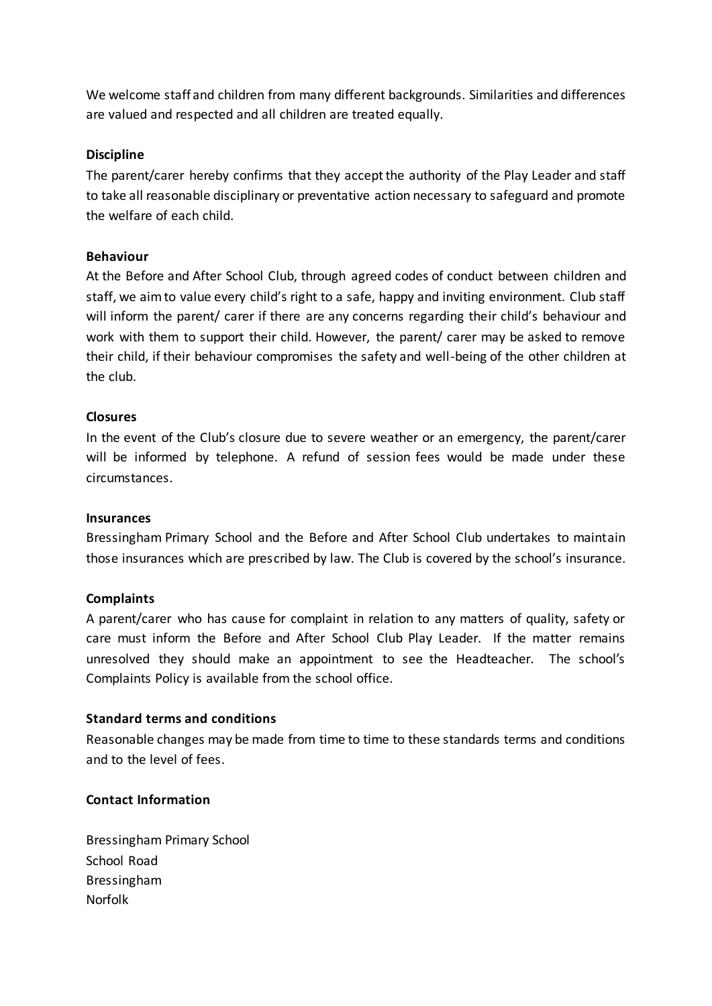We welcome staff and children from many different backgrounds. Similarities and differences are valued and respected and all children are treated equally.

#### **Discipline**

The parent/carer hereby confirms that they accept the authority of the Play Leader and staff to take all reasonable disciplinary or preventative action necessary to safeguard and promote the welfare of each child.

#### **Behaviour**

At the Before and After School Club, through agreed codes of conduct between children and staff, we aim to value every child's right to a safe, happy and inviting environment. Club staff will inform the parent/ carer if there are any concerns regarding their child's behaviour and work with them to support their child. However, the parent/ carer may be asked to remove their child, if their behaviour compromises the safety and well-being of the other children at the club.

#### **Closures**

In the event of the Club's closure due to severe weather or an emergency, the parent/carer will be informed by telephone. A refund of session fees would be made under these circumstances.

#### **Insurances**

Bressingham Primary School and the Before and After School Club undertakes to maintain those insurances which are prescribed by law. The Club is covered by the school's insurance.

#### **Complaints**

A parent/carer who has cause for complaint in relation to any matters of quality, safety or care must inform the Before and After School Club Play Leader. If the matter remains unresolved they should make an appointment to see the Headteacher. The school's Complaints Policy is available from the school office.

#### **Standard terms and conditions**

Reasonable changes may be made from time to time to these standards terms and conditions and to the level of fees.

#### **Contact Information**

Bressingham Primary School School Road Bressingham Norfolk